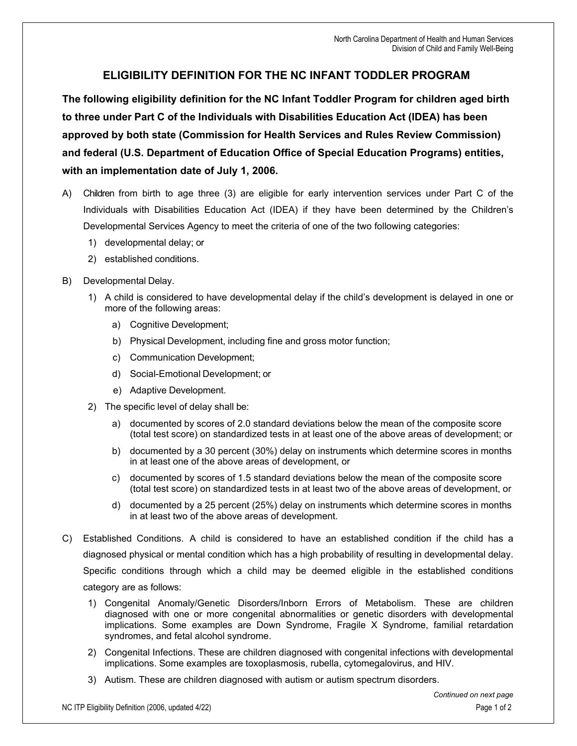## **ELIGIBILITY DEFINITION FOR THE NC INFANT TODDLER PROGRAM**

**The following eligibility definition for the NC Infant Toddler Program for children aged birth to three under Part C of the Individuals with Disabilities Education Act (IDEA) has been approved by both state (Commission for Health Services and Rules Review Commission) and federal (U.S. Department of Education Office of Special Education Programs) entities, with an implementation date of July 1, 2006.**

- A) Children from birth to age three (3) are eligible for early intervention services under Part C of the Individuals with Disabilities Education Act (IDEA) if they have been determined by the Children's Developmental Services Agency to meet the criteria of one of the two following categories:
	- 1) developmental delay; or
	- 2) established conditions.
- B) Developmental Delay.
	- 1) A child is considered to have developmental delay if the child's development is delayed in one or more of the following areas:
		- a) Cognitive Development;
		- b) Physical Development, including fine and gross motor function;
		- c) Communication Development;
		- d) Social-Emotional Development; or
		- e) Adaptive Development.
	- 2) The specific level of delay shall be:
		- a) documented by scores of 2.0 standard deviations below the mean of the composite score (total test score) on standardized tests in at least one of the above areas of development; or
		- b) documented by a 30 percent (30%) delay on instruments which determine scores in months in at least one of the above areas of development, or
		- c) documented by scores of 1.5 standard deviations below the mean of the composite score (total test score) on standardized tests in at least two of the above areas of development, or
		- d) documented by a 25 percent (25%) delay on instruments which determine scores in months in at least two of the above areas of development.
- C) Established Conditions. A child is considered to have an established condition if the child has a diagnosed physical or mental condition which has a high probability of resulting in developmental delay. Specific conditions through which a child may be deemed eligible in the established conditions category are as follows:
	- 1) Congenital Anomaly/Genetic Disorders/Inborn Errors of Metabolism. These are children diagnosed with one or more congenital abnormalities or genetic disorders with developmental implications. Some examples are Down Syndrome, Fragile X Syndrome, familial retardation syndromes, and fetal alcohol syndrome.
	- 2) Congenital Infections. These are children diagnosed with congenital infections with developmental implications. Some examples are toxoplasmosis, rubella, cytomegalovirus, and HIV.
	- 3) Autism. These are children diagnosed with autism or autism spectrum disorders.